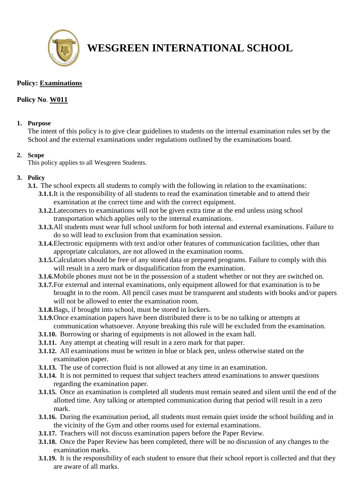

# **WESGREEN INTERNATIONAL SCHOOL**

## **Policy: Examinations**

## **Policy No**. **W011**

#### **1. Purpose**

The intent of this policy is to give clear guidelines to students on the internal examination rules set by the School and the external examinations under regulations outlined by the examinations board.

#### **2. Scope**

This policy applies to all Wesgreen Students.

### **3. Policy**

- **3.1.** The school expects all students to comply with the following in relation to the examinations:
	- **3.1.1.**It is the responsibility of all students to read the examination timetable and to attend their examination at the correct time and with the correct equipment.
	- **3.1.2.**Latecomers to examinations will not be given extra time at the end unless using school transportation which applies only to the internal examinations.
	- **3.1.3.**All students must wear full school uniform for both internal and external examinations. Failure to do so will lead to exclusion from that examination session.
	- **3.1.4.**Electronic equipments with text and/or other features of communication facilities, other than appropriate calculators, are not allowed in the examination rooms.
	- **3.1.5.**Calculators should be free of any stored data or prepared programs. Failure to comply with this will result in a zero mark or disqualification from the examination.
	- **3.1.6.**Mobile phones must not be in the possession of a student whether or not they are switched on.
	- **3.1.7.**For external and internal examinations, only equipment allowed for that examination is to be brought in to the room. All pencil cases must be transparent and students with books and/or papers will not be allowed to enter the examination room.
	- **3.1.8.**Bags, if brought into school, must be stored in lockers.
	- **3.1.9.**Once examination papers have been distributed there is to be no talking or attempts at communication whatsoever. Anyone breaking this rule will be excluded from the examination.
	- **3.1.10.** Borrowing or sharing of equipments is not allowed in the exam hall.
	- **3.1.11.** Any attempt at cheating will result in a zero mark for that paper.
	- **3.1.12.** All examinations must be written in blue or black pen, unless otherwise stated on the examination paper.
	- **3.1.13.** The use of correction fluid is not allowed at any time in an examination.
	- **3.1.14.** It is not permitted to request that subject teachers attend examinations to answer questions regarding the examination paper.
	- **3.1.15.** Once an examination is completed all students must remain seated and silent until the end of the allotted time. Any talking or attempted communication during that period will result in a zero mark.
	- **3.1.16.** During the examination period, all students must remain quiet inside the school building and in the vicinity of the Gym and other rooms used for external examinations.
	- **3.1.17.** Teachers will not discuss examination papers before the Paper Review.
	- **3.1.18.** Once the Paper Review has been completed, there will be no discussion of any changes to the examination marks.
	- **3.1.19.** It is the responsibility of each student to ensure that their school report is collected and that they are aware of all marks.